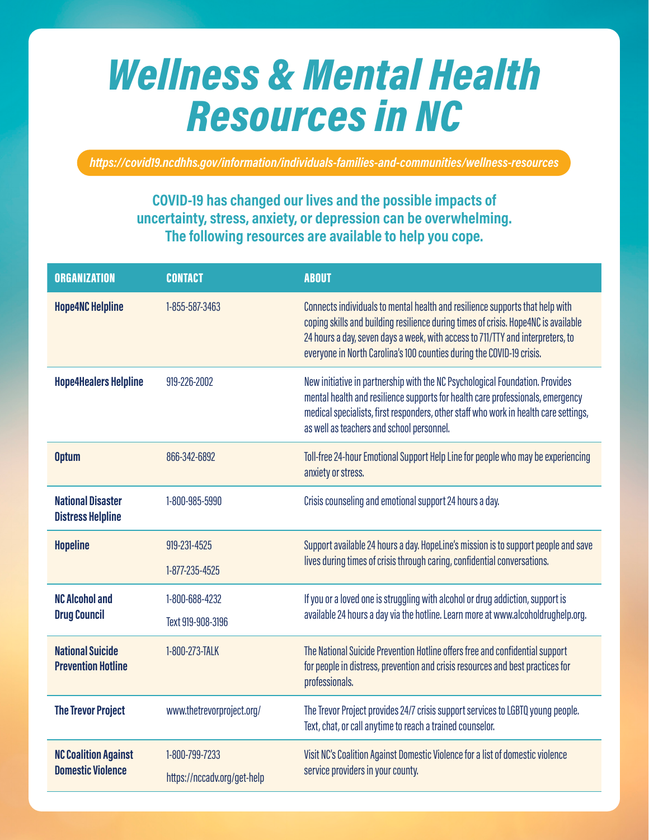## *Wellness & Mental Health Resources in NC*

*https://covid19.ncdhhs.gov/information/individuals-families-and-communities/wellness-resources*

## **COVID-19 has changed our lives and the possible impacts of uncertainty, stress, anxiety, or depression can be overwhelming. The following resources are available to help you cope.**

| <b>ORGANIZATION</b>                                     | <b>CONTACT</b>                                | <b>ABOUT</b>                                                                                                                                                                                                                                                                                                                  |
|---------------------------------------------------------|-----------------------------------------------|-------------------------------------------------------------------------------------------------------------------------------------------------------------------------------------------------------------------------------------------------------------------------------------------------------------------------------|
| <b>Hope4NC Helpline</b>                                 | 1-855-587-3463                                | Connects individuals to mental health and resilience supports that help with<br>coping skills and building resilience during times of crisis. Hope4NC is available<br>24 hours a day, seven days a week, with access to 711/TTY and interpreters, to<br>everyone in North Carolina's 100 counties during the COVID-19 crisis. |
| <b>Hope4Healers Helpline</b>                            | 919-226-2002                                  | New initiative in partnership with the NC Psychological Foundation. Provides<br>mental health and resilience supports for health care professionals, emergency<br>medical specialists, first responders, other staff who work in health care settings,<br>as well as teachers and school personnel.                           |
| <b>Optum</b>                                            | 866-342-6892                                  | Toll-free 24-hour Emotional Support Help Line for people who may be experiencing<br>anxiety or stress.                                                                                                                                                                                                                        |
| <b>National Disaster</b><br><b>Distress Helpline</b>    | 1-800-985-5990                                | Crisis counseling and emotional support 24 hours a day.                                                                                                                                                                                                                                                                       |
| <b>Hopeline</b>                                         | 919-231-4525<br>1-877-235-4525                | Support available 24 hours a day. HopeLine's mission is to support people and save<br>lives during times of crisis through caring, confidential conversations.                                                                                                                                                                |
| <b>NC Alcohol and</b><br><b>Drug Council</b>            | 1-800-688-4232<br>Text 919-908-3196           | If you or a loved one is struggling with alcohol or drug addiction, support is<br>available 24 hours a day via the hotline. Learn more at www.alcoholdrughelp.org.                                                                                                                                                            |
| <b>National Suicide</b><br><b>Prevention Hotline</b>    | 1-800-273-TALK                                | The National Suicide Prevention Hotline offers free and confidential support<br>for people in distress, prevention and crisis resources and best practices for<br>professionals.                                                                                                                                              |
| <b>The Trevor Project</b>                               | www.thetrevorproject.org/                     | The Trevor Project provides 24/7 crisis support services to LGBTQ young people.<br>Text, chat, or call anytime to reach a trained counselor.                                                                                                                                                                                  |
| <b>NC Coalition Against</b><br><b>Domestic Violence</b> | 1-800-799-7233<br>https://nccadv.org/get-help | Visit NC's Coalition Against Domestic Violence for a list of domestic violence<br>service providers in your county.                                                                                                                                                                                                           |